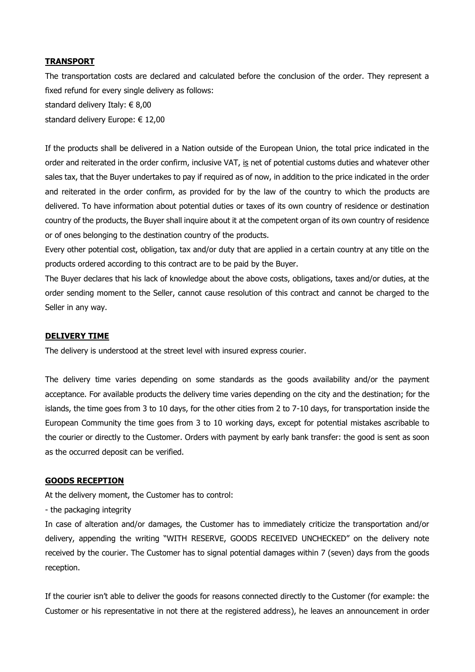## **TRANSPORT**

The transportation costs are declared and calculated before the conclusion of the order. They represent a fixed refund for every single delivery as follows: standard delivery Italy: € 8,00 standard delivery Europe: € 12,00

If the products shall be delivered in a Nation outside of the European Union, the total price indicated in the order and reiterated in the order confirm, inclusive VAT, is net of potential customs duties and whatever other sales tax, that the Buyer undertakes to pay if required as of now, in addition to the price indicated in the order and reiterated in the order confirm, as provided for by the law of the country to which the products are delivered. To have information about potential duties or taxes of its own country of residence or destination country of the products, the Buyer shall inquire about it at the competent organ of its own country of residence or of ones belonging to the destination country of the products.

Every other potential cost, obligation, tax and/or duty that are applied in a certain country at any title on the products ordered according to this contract are to be paid by the Buyer.

The Buyer declares that his lack of knowledge about the above costs, obligations, taxes and/or duties, at the order sending moment to the Seller, cannot cause resolution of this contract and cannot be charged to the Seller in any way.

## **DELIVERY TIME**

The delivery is understood at the street level with insured express courier.

The delivery time varies depending on some standards as the goods availability and/or the payment acceptance. For available products the delivery time varies depending on the city and the destination; for the islands, the time goes from 3 to 10 days, for the other cities from 2 to 7-10 days, for transportation inside the European Community the time goes from 3 to 10 working days, except for potential mistakes ascribable to the courier or directly to the Customer. Orders with payment by early bank transfer: the good is sent as soon as the occurred deposit can be verified.

## **GOODS RECEPTION**

At the delivery moment, the Customer has to control:

- the packaging integrity

In case of alteration and/or damages, the Customer has to immediately criticize the transportation and/or delivery, appending the writing "WITH RESERVE, GOODS RECEIVED UNCHECKED" on the delivery note received by the courier. The Customer has to signal potential damages within 7 (seven) days from the goods reception.

If the courier isn't able to deliver the goods for reasons connected directly to the Customer (for example: the Customer or his representative in not there at the registered address), he leaves an announcement in order